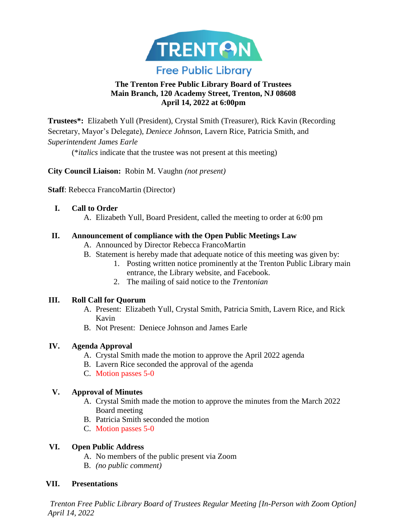

## **The Trenton Free Public Library Board of Trustees Main Branch, 120 Academy Street, Trenton, NJ 08608 April 14, 2022 at 6:00pm**

**Trustees\*:** Elizabeth Yull (President), Crystal Smith (Treasurer), Rick Kavin (Recording Secretary, Mayor's Delegate), *Deniece Johnson*, Lavern Rice, Patricia Smith, and *Superintendent James Earle*

(\**italics* indicate that the trustee was not present at this meeting)

**City Council Liaison:** Robin M. Vaughn *(not present)*

**Staff**: Rebecca FrancoMartin (Director)

### **I. Call to Order**

A. Elizabeth Yull, Board President, called the meeting to order at 6:00 pm

### **II. Announcement of compliance with the Open Public Meetings Law**

- A. Announced by Director Rebecca FrancoMartin
- B. Statement is hereby made that adequate notice of this meeting was given by:
	- 1. Posting written notice prominently at the Trenton Public Library main entrance, the Library website, and Facebook.
	- 2. The mailing of said notice to the *Trentonian*

### **III. Roll Call for Quorum**

- A. Present: Elizabeth Yull, Crystal Smith, Patricia Smith, Lavern Rice, and Rick Kavin
- B. Not Present: Deniece Johnson and James Earle

## **IV. Agenda Approval**

- A. Crystal Smith made the motion to approve the April 2022 agenda
- B. Lavern Rice seconded the approval of the agenda
- C. Motion passes 5-0

## **V. Approval of Minutes**

- A. Crystal Smith made the motion to approve the minutes from the March 2022 Board meeting
- B. Patricia Smith seconded the motion
- C. Motion passes 5-0

## **VI. Open Public Address**

- A. No members of the public present via Zoom
- B. *(no public comment)*

## **VII. Presentations**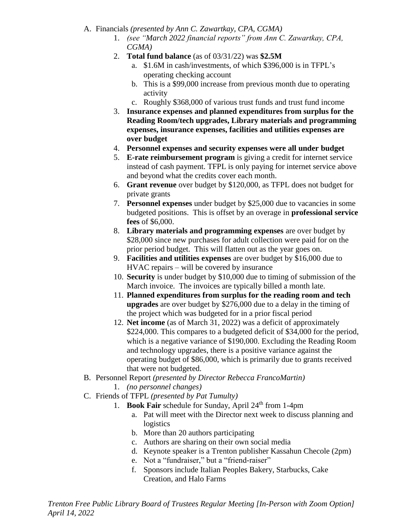A. Financials *(presented by Ann C. Zawartkay, CPA, CGMA)*

- 1. *(see "March 2022 financial reports" from Ann C. Zawartkay, CPA, CGMA)*
- 2. **Total fund balance** (as of 03/31/22) was **\$2.5M**
	- a. \$1.6M in cash/investments, of which \$396,000 is in TFPL's operating checking account
	- b. This is a \$99,000 increase from previous month due to operating activity
	- c. Roughly \$368,000 of various trust funds and trust fund income
- 3. **Insurance expenses and planned expenditures from surplus for the Reading Room/tech upgrades, Library materials and programming expenses, insurance expenses, facilities and utilities expenses are over budget**
- 4. **Personnel expenses and security expenses were all under budget**
- 5. **E-rate reimbursement program** is giving a credit for internet service instead of cash payment. TFPL is only paying for internet service above and beyond what the credits cover each month.
- 6. **Grant revenue** over budget by \$120,000, as TFPL does not budget for private grants
- 7. **Personnel expenses** under budget by \$25,000 due to vacancies in some budgeted positions. This is offset by an overage in **professional service fees** of \$6,000.
- 8. **Library materials and programming expenses** are over budget by \$28,000 since new purchases for adult collection were paid for on the prior period budget. This will flatten out as the year goes on.
- 9. **Facilities and utilities expenses** are over budget by \$16,000 due to HVAC repairs – will be covered by insurance
- 10. **Security** is under budget by \$10,000 due to timing of submission of the March invoice. The invoices are typically billed a month late.
- 11. **Planned expenditures from surplus for the reading room and tech upgrades** are over budget by \$276,000 due to a delay in the timing of the project which was budgeted for in a prior fiscal period
- 12. **Net income** (as of March 31, 2022) was a deficit of approximately \$224,000. This compares to a budgeted deficit of \$34,000 for the period, which is a negative variance of \$190,000. Excluding the Reading Room and technology upgrades, there is a positive variance against the operating budget of \$86,000, which is primarily due to grants received that were not budgeted.
- B. Personnel Report *(presented by Director Rebecca FrancoMartin)*
	- 1. *(no personnel changes)*
- C. Friends of TFPL *(presented by Pat Tumulty)*
	- 1. **Book Fair** schedule for Sunday, April 24<sup>th</sup> from 1-4pm
		- a. Pat will meet with the Director next week to discuss planning and logistics
		- b. More than 20 authors participating
		- c. Authors are sharing on their own social media
		- d. Keynote speaker is a Trenton publisher Kassahun Checole (2pm)
		- e. Not a "fundraiser," but a "friend-raiser"
		- f. Sponsors include Italian Peoples Bakery, Starbucks, Cake Creation, and Halo Farms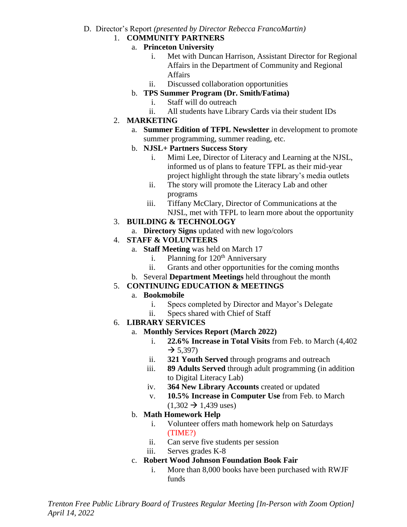#### D. Director's Report *(presented by Director Rebecca FrancoMartin)*

#### 1. **COMMUNITY PARTNERS**

#### a. **Princeton University**

- i. Met with Duncan Harrison, Assistant Director for Regional Affairs in the Department of Community and Regional Affairs
- ii. Discussed collaboration opportunities

### b. **TPS Summer Program (Dr. Smith/Fatima)**

- i. Staff will do outreach
- ii. All students have Library Cards via their student IDs
- 2. **MARKETING**
	- a. **Summer Edition of TFPL Newsletter** in development to promote summer programming, summer reading, etc.

### b. **NJSL+ Partners Success Story**

- i. Mimi Lee, Director of Literacy and Learning at the NJSL, informed us of plans to feature TFPL as their mid-year project highlight through the state library's media outlets
- ii. The story will promote the Literacy Lab and other programs
- iii. Tiffany McClary, Director of Communications at the NJSL, met with TFPL to learn more about the opportunity

# 3. **BUILDING & TECHNOLOGY**

a. **Directory Signs** updated with new logo/colors

## 4. **STAFF & VOLUNTEERS**

- a. **Staff Meeting** was held on March 17
	- i. Planning for  $120<sup>th</sup>$  Anniversary
	- ii. Grants and other opportunities for the coming months
- b. Several **Department Meetings** held throughout the month

## 5. **CONTINUING EDUCATION & MEETINGS**

## a. **Bookmobile**

- i. Specs completed by Director and Mayor's Delegate
	- ii. Specs shared with Chief of Staff

## 6. **LIBRARY SERVICES**

### a. **Monthly Services Report (March 2022)**

- i. **22.6% Increase in Total Visits** from Feb. to March (4,402  $\rightarrow$  5,397)
- ii. **321 Youth Served** through programs and outreach
- iii. **89 Adults Served** through adult programming (in addition to Digital Literacy Lab)
- iv. **364 New Library Accounts** created or updated
- v. **10.5% Increase in Computer Use** from Feb. to March  $(1,302 \rightarrow 1,439 \text{ uses})$

## b. **Math Homework Help**

- i. Volunteer offers math homework help on Saturdays (TIME?)
- ii. Can serve five students per session
- iii. Serves grades K-8

## c. **Robert Wood Johnson Foundation Book Fair**

i. More than 8,000 books have been purchased with RWJF funds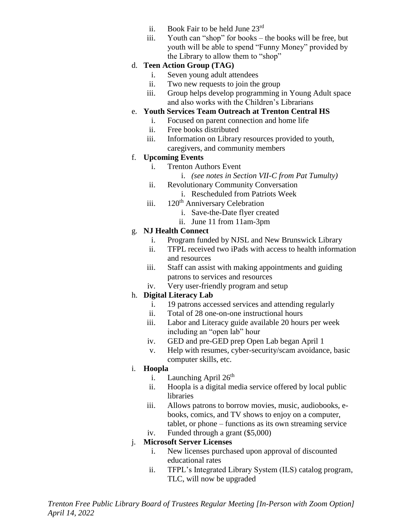- ii. Book Fair to be held June 23rd
- iii. Youth can "shop" for books the books will be free, but youth will be able to spend "Funny Money" provided by the Library to allow them to "shop"

### d. **Teen Action Group (TAG)**

- i. Seven young adult attendees
- ii. Two new requests to join the group
- iii. Group helps develop programming in Young Adult space and also works with the Children's Librarians

### e. **Youth Services Team Outreach at Trenton Central HS**

- i. Focused on parent connection and home life
- ii. Free books distributed
- iii. Information on Library resources provided to youth, caregivers, and community members

### f. **Upcoming Events**

- i. Trenton Authors Event
	- i. *(see notes in Section VII-C from Pat Tumulty)*
- ii. Revolutionary Community Conversation
	- i. Rescheduled from Patriots Week
- iii. 120<sup>th</sup> Anniversary Celebration
	- i. Save-the-Date flyer created
	- ii. June 11 from 11am-3pm

### g. **NJ Health Connect**

- i. Program funded by NJSL and New Brunswick Library
- ii. TFPL received two iPads with access to health information and resources
- iii. Staff can assist with making appointments and guiding patrons to services and resources
- iv. Very user-friendly program and setup

## h. **Digital Literacy Lab**

- i. 19 patrons accessed services and attending regularly
- ii. Total of 28 one-on-one instructional hours
- iii. Labor and Literacy guide available 20 hours per week including an "open lab" hour
- iv. GED and pre-GED prep Open Lab began April 1
- v. Help with resumes, cyber-security/scam avoidance, basic computer skills, etc.

### i. **Hoopla**

- i. Launching April  $26<sup>th</sup>$
- ii. Hoopla is a digital media service offered by local public libraries
- iii. Allows patrons to borrow movies, music, audiobooks, ebooks, comics, and TV shows to enjoy on a computer, tablet, or phone – functions as its own streaming service
- iv. Funded through a grant (\$5,000)

## j. **Microsoft Server Licenses**

- i. New licenses purchased upon approval of discounted educational rates
- ii. TFPL's Integrated Library System (ILS) catalog program, TLC, will now be upgraded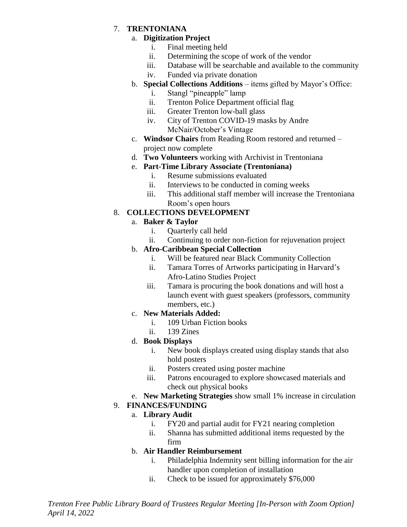### 7. **TRENTONIANA**

### a. **Digitization Project**

- i. Final meeting held
- ii. Determining the scope of work of the vendor
- iii. Database will be searchable and available to the community
- iv. Funded via private donation
- b. **Special Collections Additions** items gifted by Mayor's Office:
	- i. Stangl "pineapple" lamp
	- ii. Trenton Police Department official flag
	- iii. Greater Trenton low-ball glass
	- iv. City of Trenton COVID-19 masks by Andre McNair/October's Vintage
- c. **Windsor Chairs** from Reading Room restored and returned project now complete
- d. **Two Volunteers** working with Archivist in Trentoniana

## e. **Part-Time Library Associate (Trentoniana)**

- i. Resume submissions evaluated
- ii. Interviews to be conducted in coming weeks
- iii. This additional staff member will increase the Trentoniana Room's open hours

## 8. **COLLECTIONS DEVELOPMENT**

## a. **Baker & Taylor**

- i. Quarterly call held
- ii. Continuing to order non-fiction for rejuvenation project

## b. **Afro-Caribbean Special Collection**

- i. Will be featured near Black Community Collection
- ii. Tamara Torres of Artworks participating in Harvard's Afro-Latino Studies Project
- iii. Tamara is procuring the book donations and will host a launch event with guest speakers (professors, community members, etc.)

## c. **New Materials Added:**

- i. 109 Urban Fiction books
- ii. 139 Zines

## d. **Book Displays**

- i. New book displays created using display stands that also hold posters
- ii. Posters created using poster machine
- iii. Patrons encouraged to explore showcased materials and check out physical books
- e. **New Marketing Strategies** show small 1% increase in circulation

## 9. **FINANCES/FUNDING**

## a. **Library Audit**

- i. FY20 and partial audit for FY21 nearing completion
- ii. Shanna has submitted additional items requested by the firm

## b. **Air Handler Reimbursement**

- i. Philadelphia Indemnity sent billing information for the air handler upon completion of installation
- ii. Check to be issued for approximately \$76,000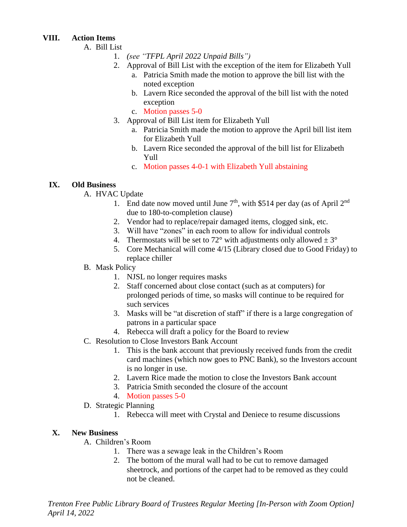### **VIII. Action Items**

### A. Bill List

- 1. *(see "TFPL April 2022 Unpaid Bills")*
- 2. Approval of Bill List with the exception of the item for Elizabeth Yull
	- a. Patricia Smith made the motion to approve the bill list with the noted exception
	- b. Lavern Rice seconded the approval of the bill list with the noted exception
	- c. Motion passes 5-0
- 3. Approval of Bill List item for Elizabeth Yull
	- a. Patricia Smith made the motion to approve the April bill list item for Elizabeth Yull
	- b. Lavern Rice seconded the approval of the bill list for Elizabeth Yull
	- c. Motion passes 4-0-1 with Elizabeth Yull abstaining

## **IX. Old Business**

### A. HVAC Update

- 1. End date now moved until June  $7<sup>th</sup>$ , with \$514 per day (as of April 2<sup>nd</sup>) due to 180-to-completion clause)
- 2. Vendor had to replace/repair damaged items, clogged sink, etc.
- 3. Will have "zones" in each room to allow for individual controls
- 4. Thermostats will be set to 72° with adjustments only allowed  $\pm 3^{\circ}$
- 5. Core Mechanical will come 4/15 (Library closed due to Good Friday) to replace chiller

### B. Mask Policy

- 1. NJSL no longer requires masks
- 2. Staff concerned about close contact (such as at computers) for prolonged periods of time, so masks will continue to be required for such services
- 3. Masks will be "at discretion of staff" if there is a large congregation of patrons in a particular space
- 4. Rebecca will draft a policy for the Board to review
- C. Resolution to Close Investors Bank Account
	- 1. This is the bank account that previously received funds from the credit card machines (which now goes to PNC Bank), so the Investors account is no longer in use.
	- 2. Lavern Rice made the motion to close the Investors Bank account
	- 3. Patricia Smith seconded the closure of the account
	- 4. Motion passes 5-0
- D. Strategic Planning
	- 1. Rebecca will meet with Crystal and Deniece to resume discussions

## **X. New Business**

- A. Children's Room
	- 1. There was a sewage leak in the Children's Room
	- 2. The bottom of the mural wall had to be cut to remove damaged sheetrock, and portions of the carpet had to be removed as they could not be cleaned.